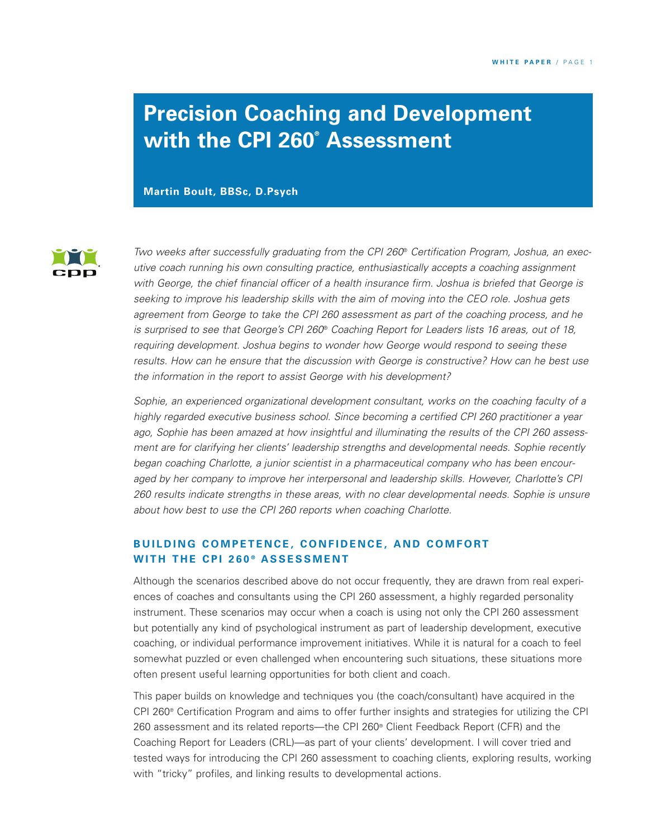# **Precision Coaching and Development with the CPI 260® Assessment**

**Martin Boult, BBSc, D.Psych**



*Two weeks after successfully graduating from the CPI 260*® *Certification Program, Joshua, an executive coach running his own consulting practice, enthusiastically accepts a coaching assignment with George, the chief financial officer of a health insurance firm. Joshua is briefed that George is seeking to improve his leadership skills with the aim of moving into the CEO role. Joshua gets agreement from George to take the CPI 260 assessment as part of the coaching process, and he is surprised to see that George's CPI 260*® *Coaching Report for Leaders lists 16 areas, out of 18, requiring development. Joshua begins to wonder how George would respond to seeing these results. How can he ensure that the discussion with George is constructive? How can he best use the information in the report to assist George with his development?*

*Sophie, an experienced organizational development consultant, works on the coaching faculty of a highly regarded executive business school. Since becoming a certified CPI 260 practitioner a year ago, Sophie has been amazed at how insightful and illuminating the results of the CPI 260 assessment are for clarifying her clients' leadership strengths and developmental needs. Sophie recently began coaching Charlotte, a junior scientist in a pharmaceutical company who has been encouraged by her company to improve her interpersonal and leadership skills. However, Charlotte's CPI 260 results indicate strengths in these areas, with no clear developmental needs. Sophie is unsure about how best to use the CPI 260 reports when coaching Charlotte.*

## **BUILDING COMPETENCE, CONFIDENCE, AND COMFORT W I T H T H E C P I 2 6 0 ® A S S ES S M E N T**

Although the scenarios described above do not occur frequently, they are drawn from real experiences of coaches and consultants using the CPI 260 assessment, a highly regarded personality instrument. These scenarios may occur when a coach is using not only the CPI 260 assessment but potentially any kind of psychological instrument as part of leadership development, executive coaching, or individual performance improvement initiatives. While it is natural for a coach to feel somewhat puzzled or even challenged when encountering such situations, these situations more often present useful learning opportunities for both client and coach.

This paper builds on knowledge and techniques you (the coach/consultant) have acquired in the CPI 260® Certification Program and aims to offer further insights and strategies for utilizing the CPI 260 assessment and its related reports—the CPI 260® Client Feedback Report (CFR) and the Coaching Report for Leaders (CRL)—as part of your clients' development. I will cover tried and tested ways for introducing the CPI 260 assessment to coaching clients, exploring results, working with "tricky" profiles, and linking results to developmental actions.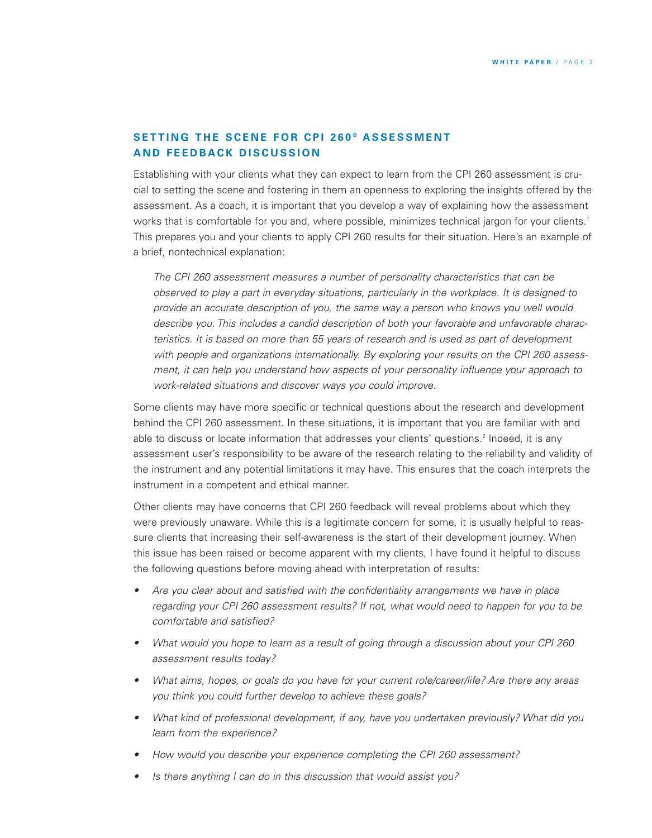## **SETTING THE SCENE FOR CPI 260° ASSESSMENT A N D F E E D B A C K D IS C U S S I O N**

Establishing with your clients what they can expect to learn from the CPI 260 assessment is crucial to setting the scene and fostering in them an openness to exploring the insights offered by the assessment. As a coach, it is important that you develop a way of explaining how the assessment works that is comfortable for you and, where possible, minimizes technical jargon for your clients. 1 This prepares you and your clients to apply CPI 260 results for their situation. Here's an example of a brief, nontechnical explanation:

*The CPI 260 assessment measures a number of personality characteristics that can be observed to play a part in everyday situations, particularly in the workplace. It is designed to provide an accurate description of you, the same way a person who knows you well would describe you. This includes a candid description of both your favorable and unfavorable characteristics. It is based on more than 55 years of research and is used as part of development with people and organizations internationally. By exploring your results on the CPI 260 assessment, it can help you understand how aspects of your personality influence your approach to work-related situations and discover ways you could improve.*

Some clients may have more specific or technical questions about the research and development behind the CPI 260 assessment. In these situations, it is important that you are familiar with and able to discuss or locate information that addresses your clients' questions. <sup>2</sup> Indeed, it is any assessment user's responsibility to be aware of the research relating to the reliability and validity of the instrument and any potential limitations it may have. This ensures that the coach interprets the instrument in a competent and ethical manner.

Other clients may have concerns that CPI 260 feedback will reveal problems about which they were previously unaware. While this is a legitimate concern for some, it is usually helpful to reassure clients that increasing their self-awareness is the start of their development journey. When this issue has been raised or become apparent with my clients, I have found it helpful to discuss the following questions before moving ahead with interpretation of results:

- *• Are you clear about and satisfied with the confidentiality arrangements we have in place regarding your CPI 260 assessment results? If not, what would need to happen for you to be comfortable and satisfied?*
- *• What would you hope to learn as a result of going through a discussion about your CPI 260 assessment results today?*
- *• What aims, hopes, or goals do you have for your current role/career/life? Are there any areas you think you could further develop to achieve these goals?*
- *• What kind of professional development, if any, have you undertaken previously? What did you learn from the experience?*
- *• How would you describe your experience completing the CPI 260 assessment?*
- *• Is there anything I can do in this discussion that would assist you?*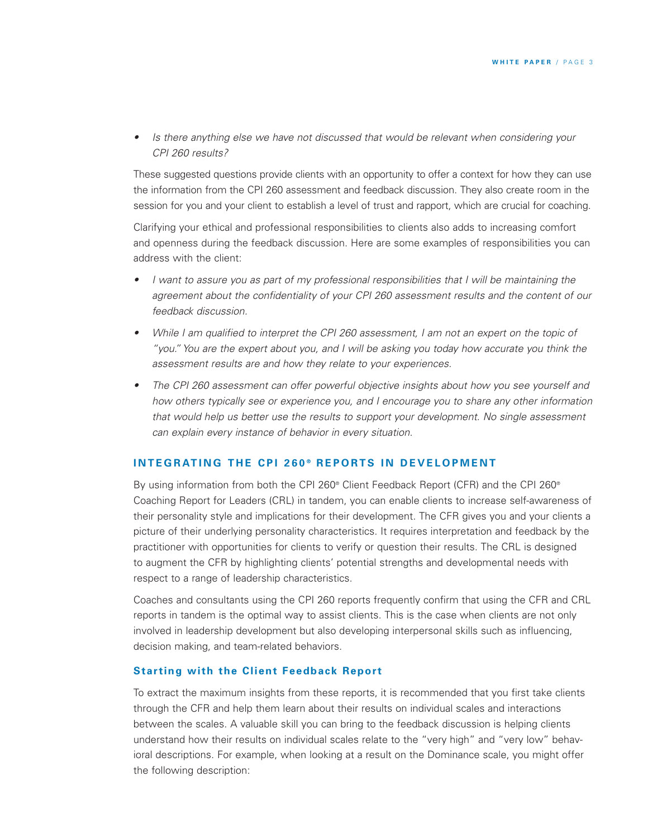*• Is there anything else we have not discussed that would be relevant when considering your CPI 260 results?*

These suggested questions provide clients with an opportunity to offer a context for how they can use the information from the CPI 260 assessment and feedback discussion. They also create room in the session for you and your client to establish a level of trust and rapport, which are crucial for coaching.

Clarifying your ethical and professional responsibilities to clients also adds to increasing comfort and openness during the feedback discussion. Here are some examples of responsibilities you can address with the client:

- *• I want to assure you as part of my professional responsibilities that I will be maintaining the agreement about the confidentiality of your CPI 260 assessment results and the content of our feedback discussion.*
- While I am qualified to interpret the CPI 260 assessment, I am not an expert on the topic of "you." You are the expert about you, and I will be asking you today how accurate you think the *assessment results are and how they relate to your experiences.*
- *• The CPI 260 assessment can offer powerful objective insights about how you see yourself and how others typically see or experience you, and I encourage you to share any other information that would help us better use the results to support your development. No single assessment can explain every instance of behavior in every situation.*

#### **INTEGRATING THE CPI 260° REPORTS IN DEVELOPMENT**

By using information from both the CPI 260® Client Feedback Report (CFR) and the CPI 260® Coaching Report for Leaders (CRL) in tandem, you can enable clients to increase self-awareness of their personality style and implications for their development. The CFR gives you and your clients a picture of their underlying personality characteristics. It requires interpretation and feedback by the practitioner with opportunities for clients to verify or question their results. The CRL is designed to augment the CFR by highlighting clients' potential strengths and developmental needs with respect to a range of leadership characteristics.

Coaches and consultants using the CPI 260 reports frequently confirm that using the CFR and CRL reports in tandem is the optimal way to assist clients. This is the case when clients are not only involved in leadership development but also developing interpersonal skills such as influencing, decision making, and team-related behaviors.

#### **Starting with the Client Feedback Report**

To extract the maximum insights from these reports, it is recommended that you first take clients through the CFR and help them learn about their results on individual scales and interactions between the scales. A valuable skill you can bring to the feedback discussion is helping clients understand how their results on individual scales relate to the "very high" and "very low" behavioral descriptions. For example, when looking at a result on the Dominance scale, you might offer the following description: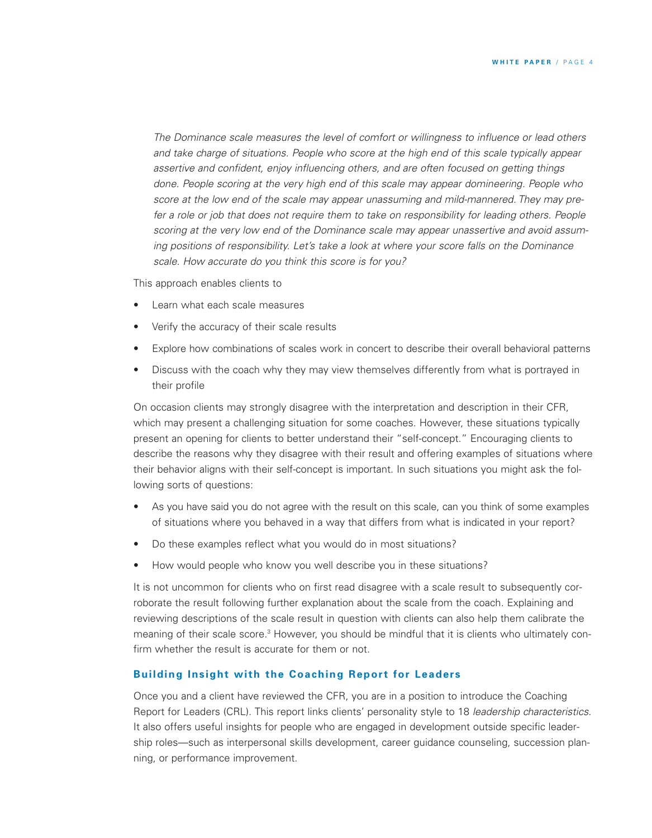*The Dominance scale measures the level of comfort or willingness to influence or lead others and take charge of situations. People who score at the high end of this scale typically appear assertive and confident, enjoy influencing others, and are often focused on getting things done. People scoring at the very high end of this scale may appear domineering. People who score at the low end of the scale may appear unassuming and mild-mannered. They may prefer a role or job that does not require them to take on responsibility for leading others. People scoring at the very low end of the Dominance scale may appear unassertive and avoid assuming positions of responsibility. Let's take a look at where your score falls on the Dominance scale. How accurate do you think this score is for you?*

This approach enables clients to

- Learn what each scale measures
- Verify the accuracy of their scale results
- Explore how combinations of scales work in concert to describe their overall behavioral patterns
- Discuss with the coach why they may view themselves differently from what is portrayed in their profile

On occasion clients may strongly disagree with the interpretation and description in their CFR, which may present a challenging situation for some coaches. However, these situations typically present an opening for clients to better understand their "self-concept." Encouraging clients to describe the reasons why they disagree with their result and offering examples of situations where their behavior aligns with their self-concept is important. In such situations you might ask the following sorts of questions:

- As you have said you do not agree with the result on this scale, can you think of some examples of situations where you behaved in a way that differs from what is indicated in your report?
- Do these examples reflect what you would do in most situations?
- How would people who know you well describe you in these situations?

It is not uncommon for clients who on first read disagree with a scale result to subsequently corroborate the result following further explanation about the scale from the coach. Explaining and reviewing descriptions of the scale result in question with clients can also help them calibrate the meaning of their scale score.<sup>3</sup> However, you should be mindful that it is clients who ultimately confirm whether the result is accurate for them or not.

#### **Building Insight with the Coaching Report for Leaders**

Once you and a client have reviewed the CFR, you are in a position to introduce the Coaching Report for Leaders (CRL). This report links clients' personality style to 18 *leadership characteristics*. It also offers useful insights for people who are engaged in development outside specific leadership roles—such as interpersonal skills development, career guidance counseling, succession planning, or performance improvement.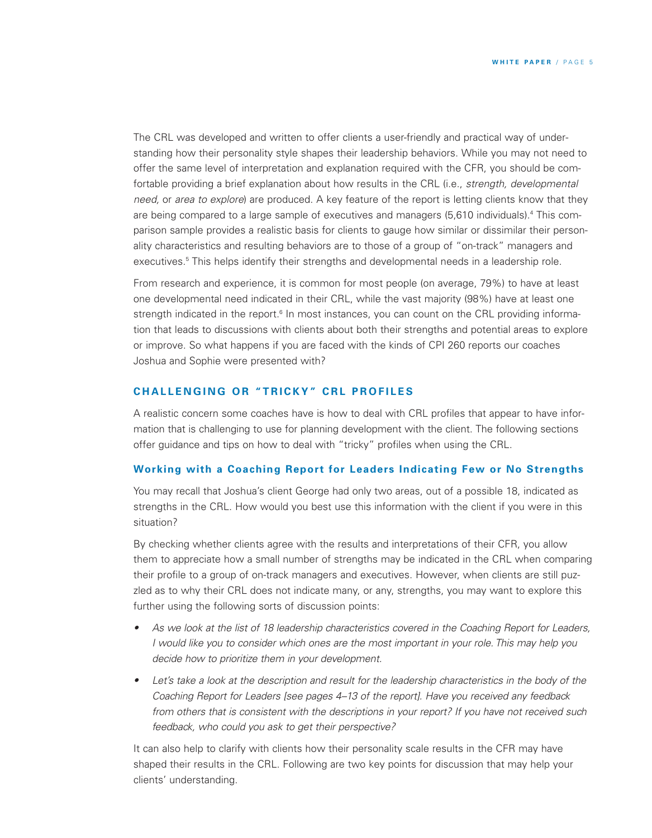The CRL was developed and written to offer clients a user-friendly and practical way of understanding how their personality style shapes their leadership behaviors. While you may not need to offer the same level of interpretation and explanation required with the CFR, you should be comfortable providing a brief explanation about how results in the CRL (i.e., *strength, developmental need,* or *area to explore*) are produced. A key feature of the report is letting clients know that they are being compared to a large sample of executives and managers (5,610 individuals). <sup>4</sup> This comparison sample provides a realistic basis for clients to gauge how similar or dissimilar their personality characteristics and resulting behaviors are to those of a group of "on-track" managers and executives. <sup>5</sup> This helps identify their strengths and developmental needs in a leadership role.

From research and experience, it is common for most people (on average, 79%) to have at least one developmental need indicated in their CRL, while the vast majority (98%) have at least one strength indicated in the report.<sup>6</sup> In most instances, you can count on the CRL providing information that leads to discussions with clients about both their strengths and potential areas to explore or improve. So what happens if you are faced with the kinds of CPI 260 reports our coaches Joshua and Sophie were presented with?

## **CHALLENGING OR "TRICKY" CRL PROFILES**

A realistic concern some coaches have is how to deal with CRL profiles that appear to have information that is challenging to use for planning development with the client. The following sections offer guidance and tips on how to deal with "tricky" profiles when using the CRL.

#### **Working with a Coaching Report for Leaders Indicating Few or No Strengths**

You may recall that Joshua's client George had only two areas, out of a possible 18, indicated as strengths in the CRL. How would you best use this information with the client if you were in this situation?

By checking whether clients agree with the results and interpretations of their CFR, you allow them to appreciate how a small number of strengths may be indicated in the CRL when comparing their profile to a group of on-track managers and executives. However, when clients are still puzzled as to why their CRL does not indicate many, or any, strengths, you may want to explore this further using the following sorts of discussion points:

- As we look at the list of 18 leadership characteristics covered in the Coaching Report for Leaders, I would like you to consider which ones are the most important in your role. This may help you *decide how to prioritize them in your development.*
- Let's take a look at the description and result for the leadership characteristics in the body of the *Coaching Report for Leaders [see pages 4–13 of the report]. Have you received any feedback from others that is consistent with the descriptions in your report? If you have not received such feedback, who could you ask to get their perspective?*

It can also help to clarify with clients how their personality scale results in the CFR may have shaped their results in the CRL. Following are two key points for discussion that may help your clients' understanding.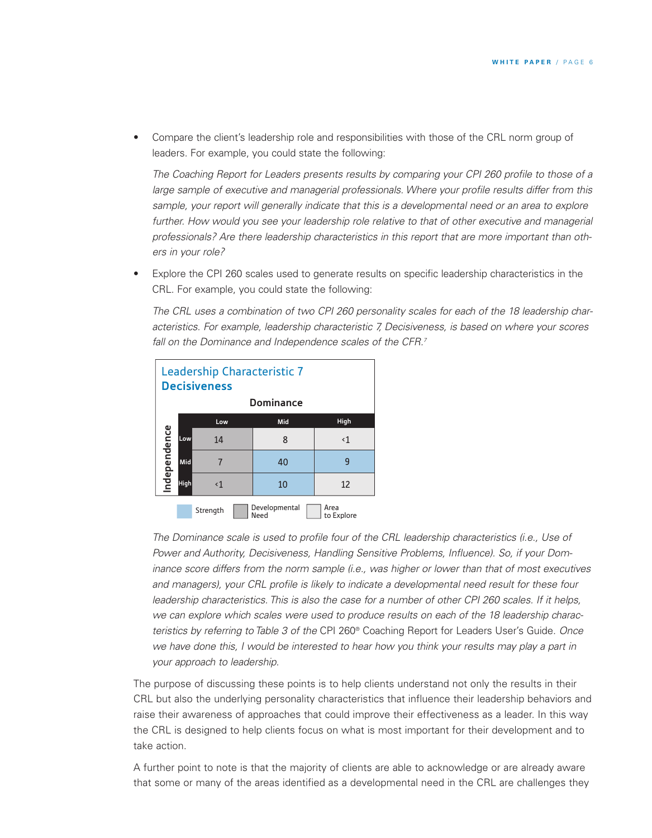• Compare the client's leadership role and responsibilities with those of the CRL norm group of leaders. For example, you could state the following:

*The Coaching Report for Leaders presents results by comparing your CPI 260 profile to those of a large sample of executive and managerial professionals. Where your profile results differ from this sample, your report will generally indicate that this is a developmental need or an area to explore further. How would you see your leadership role relative to that of other executive and managerial professionals? Are there leadership characteristics in this report that are more important than others in your role?*

• Explore the CPI 260 scales used to generate results on specific leadership characteristics in the CRL. For example, you could state the following:

*The CRL uses a combination of two CPI 260 personality scales for each of the 18 leadership characteristics. For example, leadership characteristic 7, Decisiveness, is based on where your scores fall on the Dominance and Independence scales of the CFR. 7*



*The Dominance scale is used to profile four of the CRL leadership characteristics (i.e., Use of Power and Authority, Decisiveness, Handling Sensitive Problems, Influence). So, if your Dominance score differs from the norm sample (i.e., was higher or lower than that of most executives and managers), your CRL profile is likely to indicate a developmental need result for these four* leadership characteristics. This is also the case for a number of other CPI 260 scales. If it helps, *we can explore which scales were used to produce results on each of the 18 leadership characteristics by referring to Table 3 of the* CPI 260® Coaching Report for Leaders User's Guide*. Once* we have done this, I would be interested to hear how you think your results may play a part in *your approach to leadership.*

The purpose of discussing these points is to help clients understand not only the results in their CRL but also the underlying personality characteristics that influence their leadership behaviors and raise their awareness of approaches that could improve their effectiveness as a leader. In this way the CRL is designed to help clients focus on what is most important for their development and to take action.

A further point to note is that the majority of clients are able to acknowledge or are already aware that some or many of the areas identified as a developmental need in the CRL are challenges they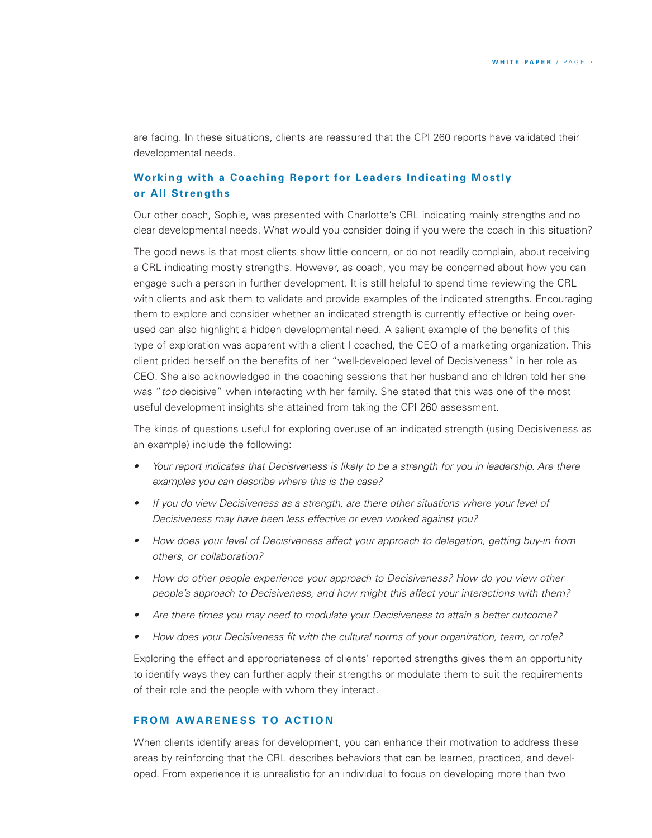are facing. In these situations, clients are reassured that the CPI 260 reports have validated their developmental needs.

## **Working with a Coaching Report for Leaders Indicating Mostly or All Strengths**

Our other coach, Sophie, was presented with Charlotte's CRL indicating mainly strengths and no clear developmental needs. What would you consider doing if you were the coach in this situation?

The good news is that most clients show little concern, or do not readily complain, about receiving a CRL indicating mostly strengths. However, as coach, you may be concerned about how you can engage such a person in further development. It is still helpful to spend time reviewing the CRL with clients and ask them to validate and provide examples of the indicated strengths. Encouraging them to explore and consider whether an indicated strength is currently effective or being overused can also highlight a hidden developmental need. A salient example of the benefits of this type of exploration was apparent with a client I coached, the CEO of a marketing organization. This client prided herself on the benefits of her "well-developed level of Decisiveness" in her role as CEO. She also acknowledged in the coaching sessions that her husband and children told her she was "*too* decisive" when interacting with her family. She stated that this was one of the most useful development insights she attained from taking the CPI 260 assessment.

The kinds of questions useful for exploring overuse of an indicated strength (using Decisiveness as an example) include the following:

- Your report indicates that Decisiveness is likely to be a strength for you in leadership. Are there *examples you can describe where this is the case?*
- *• If you do view Decisiveness as a strength, are there other situations where your level of Decisiveness may have been less effective or even worked against you?*
- *• How does your level of Decisiveness affect your approach to delegation, getting buy-in from others, or collaboration?*
- *• How do other people experience your approach to Decisiveness? How do you view other people's approach to Decisiveness, and how might this affect your interactions with them?*
- *• Are there times you may need to modulate your Decisiveness to attain a better outcome?*
- *• How does your Decisiveness fit with the cultural norms of your organization, team, or role?*

Exploring the effect and appropriateness of clients' reported strengths gives them an opportunity to identify ways they can further apply their strengths or modulate them to suit the requirements of their role and the people with whom they interact.

### **FROM AWARENESS TO ACTION**

When clients identify areas for development, you can enhance their motivation to address these areas by reinforcing that the CRL describes behaviors that can be learned, practiced, and developed. From experience it is unrealistic for an individual to focus on developing more than two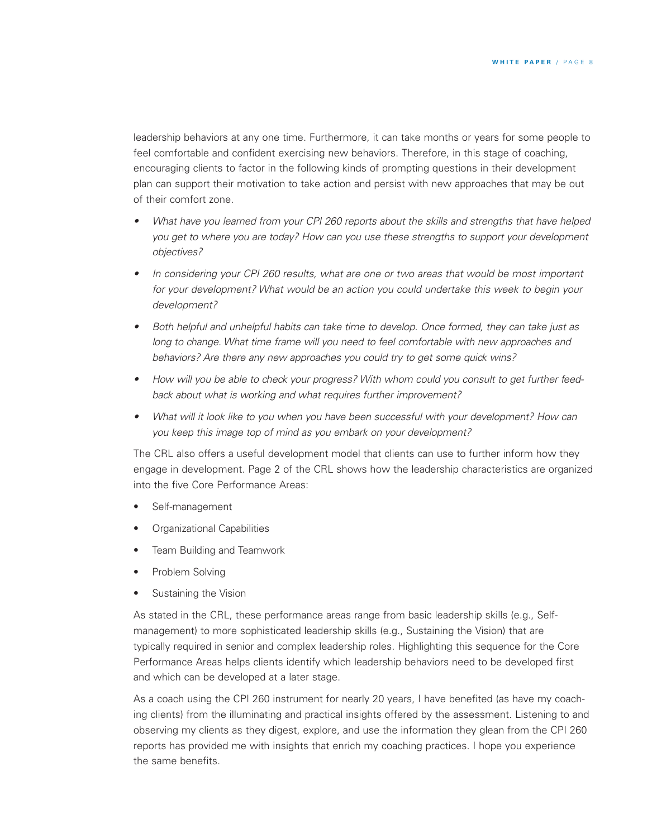leadership behaviors at any one time. Furthermore, it can take months or years for some people to feel comfortable and confident exercising new behaviors. Therefore, in this stage of coaching, encouraging clients to factor in the following kinds of prompting questions in their development plan can support their motivation to take action and persist with new approaches that may be out of their comfort zone.

- *• What have you learned from your CPI 260 reports about the skills and strengths that have helped you get to where you are today? How can you use these strengths to support your development objectives?*
- *• In considering your CPI 260 results, what are one or two areas that would be most important for your development? What would be an action you could undertake this week to begin your development?*
- *• Both helpful and unhelpful habits can take time to develop. Once formed, they can take just as long to change. What time frame will you need to feel comfortable with new approaches and behaviors? Are there any new approaches you could try to get some quick wins?*
- How will you be able to check your progress? With whom could you consult to get further feed*back about what is working and what requires further improvement?*
- *• What will it look like to you when you have been successful with your development? How can you keep this image top of mind as you embark on your development?*

The CRL also offers a useful development model that clients can use to further inform how they engage in development. Page 2 of the CRL shows how the leadership characteristics are organized into the five Core Performance Areas:

- Self-management
- Organizational Capabilities
- Team Building and Teamwork
- Problem Solving
- Sustaining the Vision

As stated in the CRL, these performance areas range from basic leadership skills (e.g., Selfmanagement) to more sophisticated leadership skills (e.g., Sustaining the Vision) that are typically required in senior and complex leadership roles. Highlighting this sequence for the Core Performance Areas helps clients identify which leadership behaviors need to be developed first and which can be developed at a later stage.

As a coach using the CPI 260 instrument for nearly 20 years, I have benefited (as have my coaching clients) from the illuminating and practical insights offered by the assessment. Listening to and observing my clients as they digest, explore, and use the information they glean from the CPI 260 reports has provided me with insights that enrich my coaching practices. I hope you experience the same benefits.